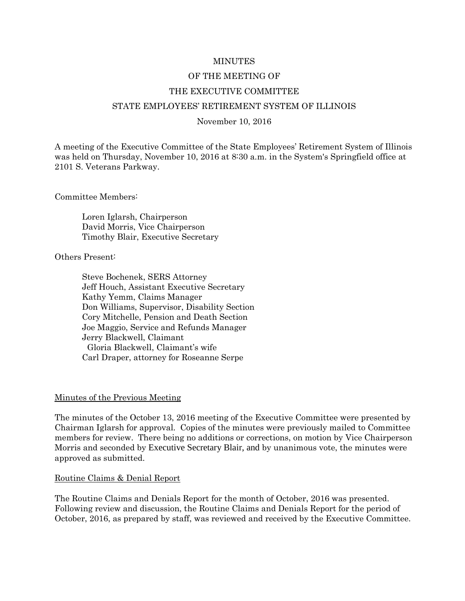### MINUTES

#### OF THE MEETING OF

#### THE EXECUTIVE COMMITTEE

#### STATE EMPLOYEES' RETIREMENT SYSTEM OF ILLINOIS

#### November 10, 2016

A meeting of the Executive Committee of the State Employees' Retirement System of Illinois was held on Thursday, November 10, 2016 at 8:30 a.m. in the System's Springfield office at 2101 S. Veterans Parkway.

Committee Members:

Loren Iglarsh, Chairperson David Morris, Vice Chairperson Timothy Blair, Executive Secretary

Others Present:

Steve Bochenek, SERS Attorney Jeff Houch, Assistant Executive Secretary Kathy Yemm, Claims Manager Don Williams, Supervisor, Disability Section Cory Mitchelle, Pension and Death Section Joe Maggio, Service and Refunds Manager Jerry Blackwell, Claimant Gloria Blackwell, Claimant's wife Carl Draper, attorney for Roseanne Serpe

#### Minutes of the Previous Meeting

The minutes of the October 13, 2016 meeting of the Executive Committee were presented by Chairman Iglarsh for approval. Copies of the minutes were previously mailed to Committee members for review. There being no additions or corrections, on motion by Vice Chairperson Morris and seconded by Executive Secretary Blair, and by unanimous vote, the minutes were approved as submitted.

#### Routine Claims & Denial Report

The Routine Claims and Denials Report for the month of October, 2016 was presented. Following review and discussion, the Routine Claims and Denials Report for the period of October, 2016, as prepared by staff, was reviewed and received by the Executive Committee.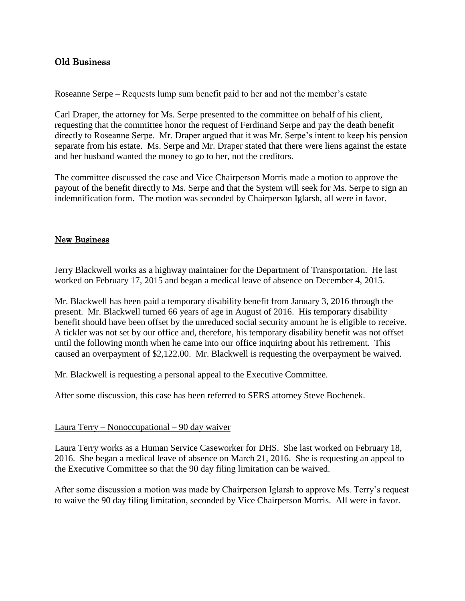# Old Business

## Roseanne Serpe – Requests lump sum benefit paid to her and not the member's estate

Carl Draper, the attorney for Ms. Serpe presented to the committee on behalf of his client, requesting that the committee honor the request of Ferdinand Serpe and pay the death benefit directly to Roseanne Serpe. Mr. Draper argued that it was Mr. Serpe's intent to keep his pension separate from his estate. Ms. Serpe and Mr. Draper stated that there were liens against the estate and her husband wanted the money to go to her, not the creditors.

The committee discussed the case and Vice Chairperson Morris made a motion to approve the payout of the benefit directly to Ms. Serpe and that the System will seek for Ms. Serpe to sign an indemnification form. The motion was seconded by Chairperson Iglarsh, all were in favor.

## New Business

Jerry Blackwell works as a highway maintainer for the Department of Transportation. He last worked on February 17, 2015 and began a medical leave of absence on December 4, 2015.

Mr. Blackwell has been paid a temporary disability benefit from January 3, 2016 through the present. Mr. Blackwell turned 66 years of age in August of 2016. His temporary disability benefit should have been offset by the unreduced social security amount he is eligible to receive. A tickler was not set by our office and, therefore, his temporary disability benefit was not offset until the following month when he came into our office inquiring about his retirement. This caused an overpayment of \$2,122.00. Mr. Blackwell is requesting the overpayment be waived.

Mr. Blackwell is requesting a personal appeal to the Executive Committee.

After some discussion, this case has been referred to SERS attorney Steve Bochenek.

### Laura Terry – Nonoccupational – 90 day waiver

Laura Terry works as a Human Service Caseworker for DHS. She last worked on February 18, 2016. She began a medical leave of absence on March 21, 2016. She is requesting an appeal to the Executive Committee so that the 90 day filing limitation can be waived.

After some discussion a motion was made by Chairperson Iglarsh to approve Ms. Terry's request to waive the 90 day filing limitation, seconded by Vice Chairperson Morris. All were in favor.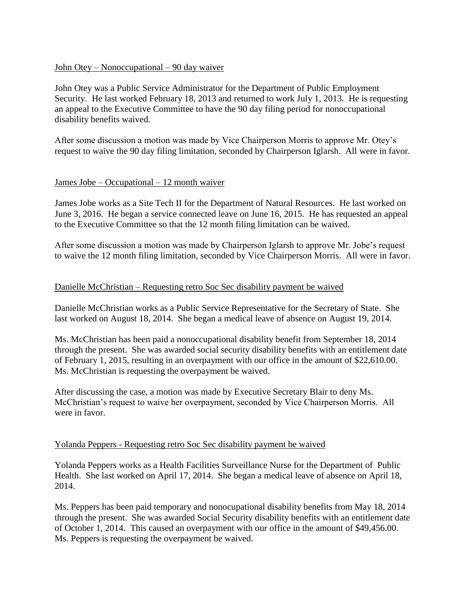## John Otey – Nonoccupational – 90 day waiver

John Otey was a Public Service Administrator for the Department of Public Employment Security. He last worked February 18, 2013 and returned to work July 1, 2013. He is requesting an appeal to the Executive Committee to have the 90 day filing period for nonoccupational disability benefits waived.

After some discussion a motion was made by Vice Chairperson Morris to approve Mr. Otey's request to waive the 90 day filing limitation, seconded by Chairperson Iglarsh. All were in favor.

## $James Jobe - Occupational - 12 month water$

James Jobe works as a Site Tech II for the Department of Natural Resources. He last worked on June 3, 2016. He began a service connected leave on June 16, 2015. He has requested an appeal to the Executive Committee so that the 12 month filing limitation can be waived.

After some discussion a motion was made by Chairperson Iglarsh to approve Mr. Jobe's request to waive the 12 month filing limitation, seconded by Vice Chairperson Morris. All were in favor.

## Danielle McChristian – Requesting retro Soc Sec disability payment be waived

Danielle McChristian works as a Public Service Representative for the Secretary of State. She last worked on August 18, 2014. She began a medical leave of absence on August 19, 2014.

Ms. McChristian has been paid a nonoccupational disability benefit from September 18, 2014 through the present. She was awarded social security disability benefits with an entitlement date of February 1, 2015, resulting in an overpayment with our office in the amount of \$22,610.00. Ms. McChristian is requesting the overpayment be waived.

After discussing the case, a motion was made by Executive Secretary Blair to deny Ms. McChristian's request to waive her overpayment, seconded by Vice Chairperson Morris. All were in favor.

## Yolanda Peppers - Requesting retro Soc Sec disability payment be waived

Yolanda Peppers works as a Health Facilities Surveillance Nurse for the Department of Public Health. She last worked on April 17, 2014. She began a medical leave of absence on April 18, 2014.

Ms. Peppers has been paid temporary and nonocupational disability benefits from May 18, 2014 through the present. She was awarded Social Security disability benefits with an entitlement date of October 1, 2014. This caused an overpayment with our office in the amount of \$49,456.00. Ms. Peppers is requesting the overpayment be waived.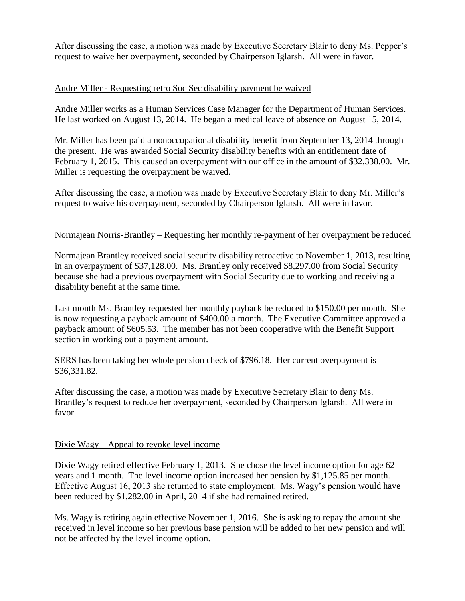After discussing the case, a motion was made by Executive Secretary Blair to deny Ms. Pepper's request to waive her overpayment, seconded by Chairperson Iglarsh. All were in favor.

# Andre Miller - Requesting retro Soc Sec disability payment be waived

Andre Miller works as a Human Services Case Manager for the Department of Human Services. He last worked on August 13, 2014. He began a medical leave of absence on August 15, 2014.

Mr. Miller has been paid a nonoccupational disability benefit from September 13, 2014 through the present. He was awarded Social Security disability benefits with an entitlement date of February 1, 2015. This caused an overpayment with our office in the amount of \$32,338.00. Mr. Miller is requesting the overpayment be waived.

After discussing the case, a motion was made by Executive Secretary Blair to deny Mr. Miller's request to waive his overpayment, seconded by Chairperson Iglarsh. All were in favor.

# Normajean Norris-Brantley – Requesting her monthly re-payment of her overpayment be reduced

Normajean Brantley received social security disability retroactive to November 1, 2013, resulting in an overpayment of \$37,128.00. Ms. Brantley only received \$8,297.00 from Social Security because she had a previous overpayment with Social Security due to working and receiving a disability benefit at the same time.

Last month Ms. Brantley requested her monthly payback be reduced to \$150.00 per month. She is now requesting a payback amount of \$400.00 a month. The Executive Committee approved a payback amount of \$605.53. The member has not been cooperative with the Benefit Support section in working out a payment amount.

SERS has been taking her whole pension check of \$796.18. Her current overpayment is \$36,331.82.

After discussing the case, a motion was made by Executive Secretary Blair to deny Ms. Brantley's request to reduce her overpayment, seconded by Chairperson Iglarsh. All were in favor.

# Dixie Wagy – Appeal to revoke level income

Dixie Wagy retired effective February 1, 2013. She chose the level income option for age 62 years and 1 month. The level income option increased her pension by \$1,125.85 per month. Effective August 16, 2013 she returned to state employment. Ms. Wagy's pension would have been reduced by \$1,282.00 in April, 2014 if she had remained retired.

Ms. Wagy is retiring again effective November 1, 2016. She is asking to repay the amount she received in level income so her previous base pension will be added to her new pension and will not be affected by the level income option.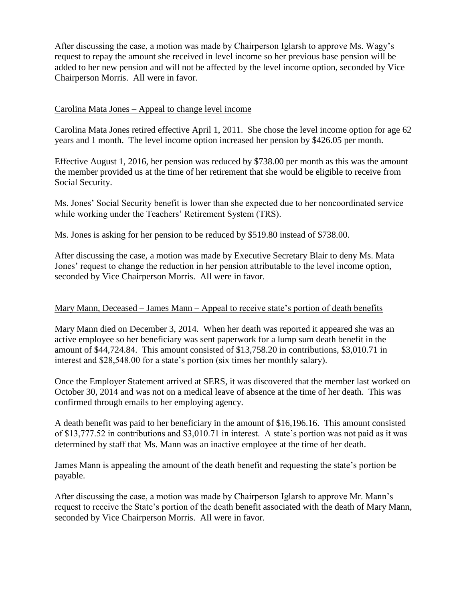After discussing the case, a motion was made by Chairperson Iglarsh to approve Ms. Wagy's request to repay the amount she received in level income so her previous base pension will be added to her new pension and will not be affected by the level income option, seconded by Vice Chairperson Morris. All were in favor.

## Carolina Mata Jones – Appeal to change level income

Carolina Mata Jones retired effective April 1, 2011. She chose the level income option for age 62 years and 1 month. The level income option increased her pension by \$426.05 per month.

Effective August 1, 2016, her pension was reduced by \$738.00 per month as this was the amount the member provided us at the time of her retirement that she would be eligible to receive from Social Security.

Ms. Jones' Social Security benefit is lower than she expected due to her noncoordinated service while working under the Teachers' Retirement System (TRS).

Ms. Jones is asking for her pension to be reduced by \$519.80 instead of \$738.00.

After discussing the case, a motion was made by Executive Secretary Blair to deny Ms. Mata Jones' request to change the reduction in her pension attributable to the level income option, seconded by Vice Chairperson Morris. All were in favor.

### Mary Mann, Deceased – James Mann – Appeal to receive state's portion of death benefits

Mary Mann died on December 3, 2014. When her death was reported it appeared she was an active employee so her beneficiary was sent paperwork for a lump sum death benefit in the amount of \$44,724.84. This amount consisted of \$13,758.20 in contributions, \$3,010.71 in interest and \$28,548.00 for a state's portion (six times her monthly salary).

Once the Employer Statement arrived at SERS, it was discovered that the member last worked on October 30, 2014 and was not on a medical leave of absence at the time of her death. This was confirmed through emails to her employing agency.

A death benefit was paid to her beneficiary in the amount of \$16,196.16. This amount consisted of \$13,777.52 in contributions and \$3,010.71 in interest. A state's portion was not paid as it was determined by staff that Ms. Mann was an inactive employee at the time of her death.

James Mann is appealing the amount of the death benefit and requesting the state's portion be payable.

After discussing the case, a motion was made by Chairperson Iglarsh to approve Mr. Mann's request to receive the State's portion of the death benefit associated with the death of Mary Mann, seconded by Vice Chairperson Morris. All were in favor.